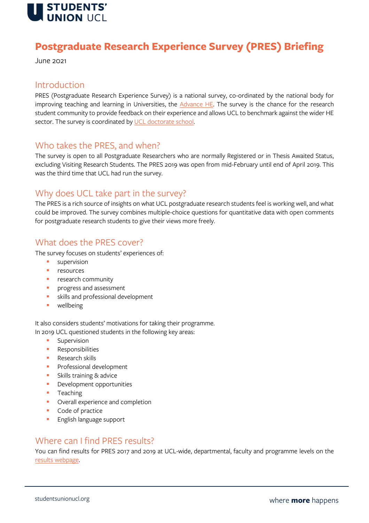

# **Postgraduate Research Experience Survey (PRES) Briefing**

June 2021

#### Introduction

PRES (Postgraduate Research Experience Survey) is a national survey, co-ordinated by the national body for improving teaching and learning in Universities, the  $\triangle$ dvance HE. The survey is the chance for the research student community to provide feedback on their experience and allows UCL to benchmark against the wider HE sector. The survey is coordinated by UCL doctorate school.

#### Who takes the PRES, and when?

The survey is open to all Postgraduate Researchers who are normally Registered or in Thesis Awaited Status, excluding Visiting Research Students. The PRES 2019 was open from mid-February until end of April 2019. This was the third time that UCL had run the survey.

#### Why does UCL take part in the survey?

The PRES is a rich source of insights on what UCL postgraduate research students feel is working well, and what could be improved. The survey combines multiple-choice questions for quantitative data with open comments for postgraduate research students to give their views more freely.

### What does the PRES cover?

The survey focuses on students' experiences of:

- supervision
- resources
- **•** research community
- **•** progress and assessment
- **•** skills and professional development
- wellbeing

It also considers students' motivations for taking their programme. In 2019 UCL questioned students in the following key areas:

- Supervision
- Responsibilities
- Research skills
- **•** Professional development
- Skills training & advice
- **•** Development opportunities
- Teaching
- Overall experience and completion
- Code of practice
- English language support

### Where can I find PRES results?

You can find results for PRES 2017 and 2019 at UCL-wide, departmental, faculty and programme levels on the [results webpage.](https://www.grad.ucl.ac.uk/surveys/pres2019/)